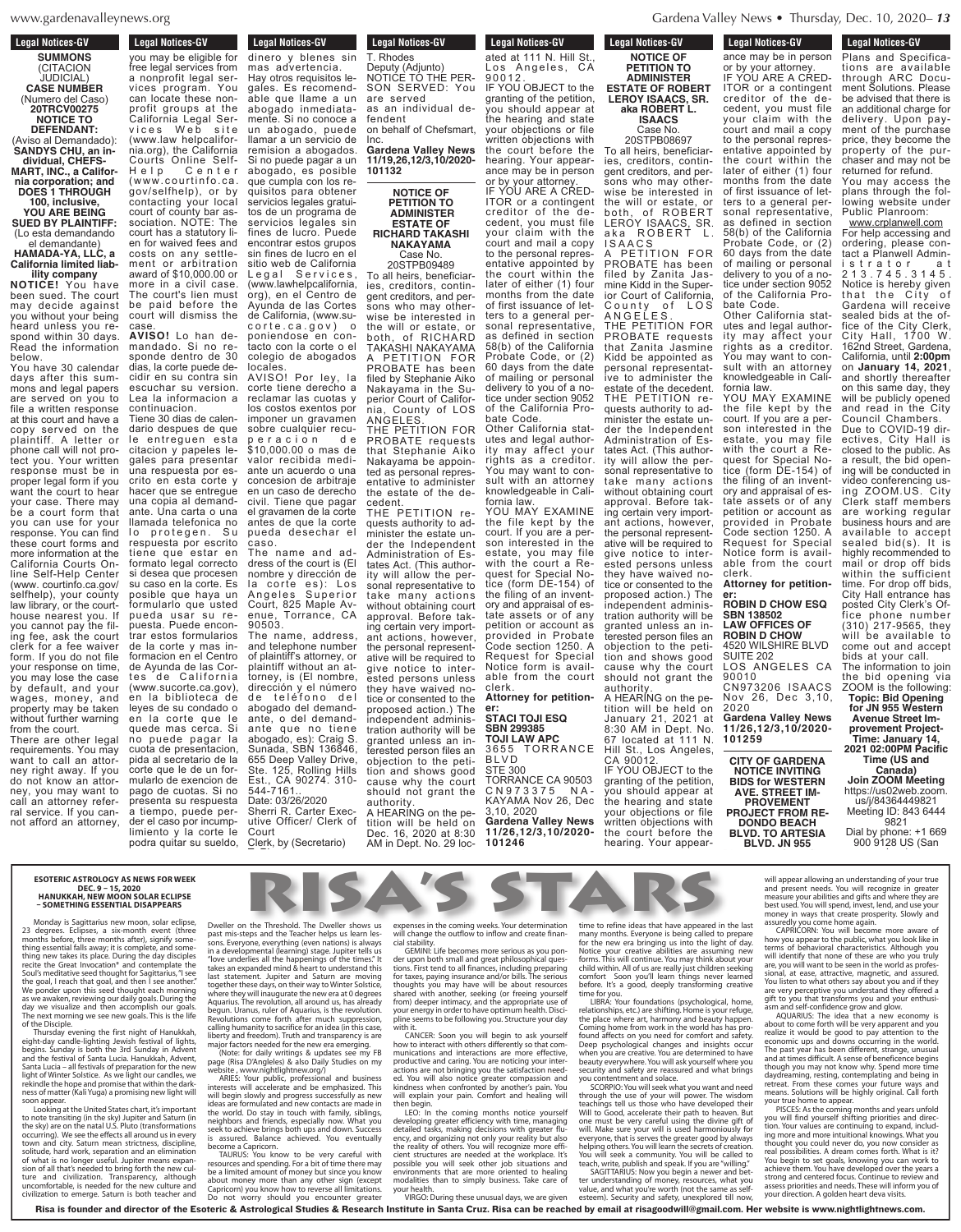ews.org

## **Legal Notices-GV SUMMONS** (CITACION JUDICIAL) **CASE NUMBER** (Numero del Caso) **20TRCV00275 NOTICE TO DEFENDANT:** (Aviso al Demandado): **SANDYS CHU, an individual, CHEFS-MART, INC., a California corporation; and DOES 1 THROUGH 100, inclusive, YOU ARE BEING**

**SUED BY PLAINTIFF:** (Lo esta demandando el demandante)

### **HAMADA-YA, LLC, a California limited liability company**

**NOTICE!** You have been sued. The court may decide against you without your being heard unless you respond within 30 days. Read the information below.

You have 30 calendar days after this summons and legal papers are served on you to file a written response at this court and have a copy served on the plaintiff. A letter or phone call will not protect you. Your written response must be in proper legal form if you want the court to hear your case. There may be a court form that you can use for your response. You can find these court forms and more information at the California Courts Online Self-Help Center (www. courtinfo.ca.gov/ selfhelp), your county law library, or the court-<br>house nearest you If house nearest you. you cannot pay the filing fee, ask the court clerk for a fee waiver form. If you do not file your response on time, you may lose the case by default, and your wages, money, and property may be taken without further warning

from the court. There are other legal requirements. You may want to call an attorney right away. If you do not know an attorney, you may want to call an attorney referral service. If you cannot afford an attorney, you may be eligible for

vices program. You have been program.

dinero y blenes sin mas advertencia. Hay otros requisitos legales. Es recomendable que llame a un abogado inmediatamente. Si no conoce a un abogado, puede llamar a un servicio de remision a abogados. Si no puede pagar a un abogado, es posible you may be eligible for free legal services from a nonprofit legal services program. You can locate these nonprofit groups at the California Legal Services Web site (www.law helpcalifornia.org), the California Courts Online Self-Help Center  $www.courtinfo.ca.$ gov/selfhelp), or by contacting your local court of county bar association. NOTE: The court has a statutory lien for waived fees and costs on any settlement or arbitration award of \$10,000.00 or more in a civil case. The court's lien must be paid before the court will dismiss the case.

que cumpla con los requisitos para obtener servicios legales gratuitos de un programa de servicios legales sin fines de lucro. Puede encontrar estos grupos sin fines de lucro en el sitio web de California Legal Services, (www.lawhelpcalifornia, org), en el Centro de Ayunda de las Cortes de California, (www.su-<br>corte.ca.gov) o corte.ca.gov) o poniendose en contacto con la corte o el colegio de abogados locales. AVISO! Por ley, la corte tiene derecho a **AVISO!** Lo han demandado. Si no responde dentro de 30 dias, la corte puede decidir en su contra sin escuchar su version.

reclamar las cuotas y los costos exentos por imponer un gravamen sobre cualquier recuperacion de \$10,000.00 o mas de valor recibida mediante un acuerdo o una concesion de arbitraje en un caso de derecho civil. Tiene que pagar el gravamen de la corte antes de que la corte pueda desechar el caso. The name and address of the court is (El nombre y dirección de la corte es): Los Angeles Superior Court, 825 Maple Avenue, Torrance, CA 90503. The name, address, and telephone number of plaintiff's attorney, or plaintiff without an attorney, is (El nombre, dirección y el número de teléfono del abogado del demandante, o del demandante que no tiene abogado, es): Craig S. Sunada, SBN 136846, 655 Deep Valley Drive, Ste. 125, Rolling Hills Est., CA 90274. 310- 544-7161.. Date: 03/26/2020 Sherri R. Carter Executive Officer/ Clerk of Lea la informacion a continuacion. Tiene 30 dias de calendario despues de que le entreguen esta citacion y papeles legales para presentar una respuesta por escrito en esta corte y hacer que se entregue una copia al demandante. Una carta o una llamada telefonica no protegen. respuesta por escrito tiene que estar en formato legal correcto si desea que procesen su caso en la corte. Es posible que haya un formularlo que usted pueda usar su repuesta. Puede encontrar estos formularios de la corte y mas informacion en el Centro de Ayunda de las Cortes de California (www.sucorte.ca.gov), èn la biblioteca de leyes de su condado o en la corte que le quede mas cerca. Si no puede pagar cuota de presentacion, pida al secretario de la corte que le de un formularlo de exencion de pago de cuotas. Si no presenta su respuesta a tiempo, puede perder el caso por incump-

limiento y la corte le podra quitar su sueldo, mas advertencia.

## **Legal Notices-GV**

## Leyal Nutices-GV T. Rhodes<br>Deputy (Adjunto)

NOTICE TO THE PER-SON SERVED: You are served as an individual defendent on behalf of Chefsmart,

Inc. **Gardena Valley News 11/19,26,12/3,10/2020- 101132**

> **NOTICE OF PETITION TO ADMINISTER ESTATE OF RICHARD TAKASHI NAKAYAMA** Case No.

## 20STPB09489

To all heirs, beneficiaries, creditors, contingent creditors, and persons who may otherwise be interested in the will or estate, or both, of RICHARD TAKASHI NAKAYAMA **PETITION FOR** PROBATE has been filed by Stephanie Aiko Nakayama in the Superior Court of California, County of LOS ANGELES.

THE PETITION FOR PROBATE requests that Stephanie Aiko Nakayama be appointed as personal representative to administer the estate of the decedent.

THE PETITION requests authority to administer the estate under the Independent Administration of Estates Act. (This authority will allow the personal representative to take many actions without obtaining court approval. Before taking certain very important actions, however, the personal representative will be required to give notice to interested persons unless they have waived notice or consented to the proposed action.) The independent administration authority will be granted unless an interested person files an objection to the petition and shows good cause why the court should not grant the authority.

A HEARING on the petition will be held on Dec. 16, 2020 at 8:30 AM in Dept. No. 29 loc-

9 0 0 1 2 .

 $\frac{1}{1}$ 

L o s An g e l e s , C A

AS

Legal Notices-GV ated at 111 N. Hill St., Los Angeles, CA 9 0 0 1 2 . IF YOU OBJECT to the granting of the petition, you should appear at the hearing and state your objections or file written objections with the court before the

hearing. Your appear-

ance may be in person or by your attorney. IF YOU ARE A CRED-ITOR or a contingent creditor of the decedent, you must file your claim with the court and mail a copy to the personal repres entative appointed by the court within the later of either (1) four months from the date of first issuance of letters to a general personal representative. as defined in section 58(b) of the California Probate Code, or (2) 60 days from the date of mailing or personal delivery to you of a notice under section 9052 of the California Probate Code.

Other California statutes and legal authority may affect your rights as a creditor. You may want to consult with an attorney knowledgeable in California law.

YOU MAY EXAMINE the file kept by the court. If you are a person interested in the estate, you may file with the court a Request for Special Notice (form DE-154) of the filing of an inventory and appraisal of estate assets or of any petition or account as provided in Probate Code section 1250. A Request for Special Notice form is available from the court clerk. **Attorney for petition-**

### **er: STACI TOJI ESQ SBN 299385**

**TOJI LAW APC** 3655 TORRANCE BLV D STE 300 TORRANCE CA 90503<br>C N 9 7 3 3 7 5 N A - $C N 9 7 3 3 7 5$ KAYAMA Nov 26, Dec 3,10, 2020 **Gardena Valley News 11/26,12/3,10/2020- 101246**

**Legal Notices-GV NOTICE OF PETITION TO ADMINISTER ESTATE OF ROBERT LEROY ISAACS, SR.**

PETITION FOR

THE PETITION FOR ROBATE requests estate of the decedent. THE PETITION reminister the estate untates Act. (This authority will allow the perthey have waived noindependent administration authority will be terested person files an cause why the court should not grant the authority.

the hearing and state your objections or file written objections with the court before the hearing. Your appear-

**Legal Notices-GV Legal Nutices-GV** ance may be in person or by your attorney. IF YOU ARE A CRED-ITOR or a contingent creditor of the decedent, you must file your claim with the court and mail a copy to the personal representative appointed by the court within the later of either (1) four months from the date of first issuance of letters to a general per-

sonal representative, as defined in section 58(b) of the California Probate Code, or (2) 60 days from the date of mailing or personal delivery to you of a notice under section 9052 of the California Probate Code.

Other California statutes and legal authority may affect your rights as a creditor. You may want to consult with an attorney knowledgeable in California law.

YOU MAY EXAMINE the file kept by the court. If you are a person interested in the estate, you may file with the court a Request for Special Notice (form DE-154) of the filing of an inventory and appraisal of estate assets or of any petition or account as provided in Probate Code section 1250. A Request for Special Notice form is available from the court clerk. **Attorney for petition-**

**er: ROBIN D CHOW ESQ**

### **SBN 138502 LAW OFFICES OF ROBIN D CHOW**

4520 WILSHIRE BLVD SUITE 202 LOS ANGELES CA

ZOOM is the following: 90010 CN973206 ISAACS Nov 26, Dec 3,10,

2020 **Gardena Valley News 11/26,12/3,10/2020- 101259**

### **CITY OF GARDENA NOTICE INVITING BIDS for WESTERN AVE. STREET IM-PROVEMENT PROJECT FROM RE-DONDO BEACH BLVD. TO ARTESIA**

**BLVD. JN 955** tions are available

9821 Dial by phone: +1 669 900 9128 US (San Jose)

will appear allowing an understanding of your true will appear allowing an understanding of your true<br>and present needs. You will recognize in greater measure your abilities and gifts and where they are best used. You will spend, invest, lend, and use your

**NO. 855 ADDER MO.** *MO.* **<b>***MO.* **<b>***WARRER SET <b>P* 

AQUARIUS: The idea that a new economy is

economic ups and downs occurring in the world.<br>The past year has been different, strange, unusual<br>and at times difficult. A sense of beneficence begins<br>though you may not know why. Spend more time<br>daydreaming, resting, con

tion. Your values are continuing to expand, includ-

money in ways that create prosperity. Slowly and<br>assuredly you come home again.<br>CAPRICORN: You will become more aware of<br>how you appear to the public, what you look like in<br>terms of behavioral characteristics. Although you

real possibilities. A dream comes forth. What is it?

You begin to set goals, knowing you can work to achieve them. You have developed over the years a strong and centered focus. Continue to review and

Should you have any

 $\mathsf{react}$  prosperity. Slowly and  $\frac{21}{2}$  become more aware of  $\Box$  $\frac{1}{2}$  only compute the result of  $\frac{1}{2}$  -  $\frac{1}{2}$  -  $\frac{1}{2}$  -  $\frac{1}{2}$  -  $\frac{1}{2}$  -  $\frac{1}{2}$  -  $\frac{1}{2}$  -  $\frac{1}{2}$  -  $\frac{1}{2}$  -  $\frac{1}{2}$  -  $\frac{1}{2}$  -  $\frac{1}{2}$  -  $\frac{1}{2}$  -  $\frac{1}{2}$  -  $\frac{1}{2}$  -  $\frac{$ pasne, mat , ou room me of these are who you truly  $\frac{1}{2}$  seen in the world as profes- $\alpha$  magnetic, and assured. as say about you and if they<br>
u understand they offered a<br>
prms you and your enthusi-

**Example 2 R**<br>**EXAMPLE 2020 <b>R III** be very apparent and you  $\left\{ \begin{array}{c} \n\text{and} \quad \text{for} \quad \text{for} \quad \text{for} \quad \text{for} \quad \text{for} \quad \text{for} \quad \text{for} \quad \text{for} \quad \text{for} \quad \text{for} \quad \text{for} \quad \text{for} \quad \text{for} \quad \text{for} \quad \text{for} \quad \text{for} \quad \text{for} \quad \text{for} \quad \text{for} \quad \text{for} \quad \text{for} \quad \text{for} \quad \text{for} \quad \text{for} \quad \text$ **F R O M R E D O N D O B** different, strange, unusual **ARTESISE BLVDD BLVDD BLVDD BLVDD BLVDD BLVDD BLVDD BLVDD BLVDD BLVDD BLVDD BLVDD BLVDD BLVDD BLVDD BLVDD BLVDD BLVDD BLVDD BLVDD BLVDD BLVDD BLVDD BLVDD BLVDDD BLVDDD BL**  $\begin{bmatrix} \text{now why. spend more time} \\ \text{contomplating and being in} \end{bmatrix}$ concemplating and being in  $\overline{\phantom{a}}$ be highly original. Call forth<br>ear.<br>ing months and years unfold  $p$  of priorities and direc-<br>softinging to expand included  $t$  uniquity to expand, include  $\begin{bmatrix} 1 \\ 2 \end{bmatrix}$ 

s, knowing you can work to a e developed over the<br>icus Continue to revi

**Topic: Bid Opening for JN 955 Western Avenue Street Improvement Project-Time: January 14, 2021 02:00PM Pacific Time (US and Canada) Join ZOOM Meeting** https://us02web.zoom. us/j/84364449821 Meeting ID: 843 6444

**ESOTERIC ASTROLOGY AS NEWS FOR WEEK** , NEWS FOR WEER<br>120 ablic due to the solemn and the solemn profit groups and the solemn week<br>habitation of the solemn solemn solemn solemn solemn solemn solemn solemn solemn solemn solemn solemn solemn s **do Francisco ESSENTIAL DISAPPEARS** California Legal Ser-**DEC. 9 – 15, 2020 HANUKKAH, NEW MOON SOLAR ECLIPSE** 

Monday is Sagittarius new moon, solar eclipse, Dweller moon, solar eclipse, Dweller lontificant event turned upost mis-<br>after) signify somereally some sons. Eve<br>omplete, and some in a dove ng the day disciples the developed page of about emplate the  $\frac{1}{100}$  takes an for Sagittarius, I see<br>then I see another" last stat the goal, I reach that goal, and then I see another."  $\frac{1}{3}$  is start we ponder upon this seed thought each morning  $\frac{1}{10}$  where the servicion in the where the design where the service of the service of the service of the service of the service of the service of the service of the service of the service of the service of the service of the service of th as we awaken, reviewing our daily goals. During the wifeld day we visualize and then accomplish our goals. begun. The next morning we see new goals. This is the life Revolution of the Disciple Monday is Sagittarius ne<br>Clinses a sive California  $\sum_{n=1}^{\infty}$  degrees: Ecupses, a sixt thing essential falls away; it i thing new takes its place. Du recite the Great Invocation\*  $\Box$  bours mean allowe seed thought as we awaken, reviewing our daily goals. During the day we visualize and then accomplish our goals. 23 degrees. Eclipses, a six-month event (three<br>months before, three months after), signify some-<br>thing essential falls away; it is complete, and some-<br>thing new takes its place. During the day disciples<br>recite the Great In of the Disciple.

of the Disciple.<br>Thursday evening the first night of Hanukkah, liberty at encontrarium, liberty and liberty and liberty and liberty and sunday in Advent and lucro luc Hanukkah, Advent, page (Rist paration for the new website, gift our caricies, we ARIES<br>that within the darknist mean the dam interests<br>inising new light will will begi ayunda de las Cortes Cortes de la Santa de la Cortes de la Cortes de la Cortes de la Cortes de la Cortes de la<br>Ayunda de la Cortes de la Cortes de la Cortes de la Cortes de la Cortes de la Cortes de la Cortes de la Cortes  $\left| \right|$  eight-day candle-lighting Je begins. Sunday is both the and the festival of Santa Luck Santa Lucia – all festivals of p<br>Lucia formation solutice LAs w  $\mathsf{b}$  before the property positive. As we relate ness of matter (Kali Yuga) a p soon appear. eight-day candle-lighting Jewish festival of lights,<br>begins. Sunday is both the 3rd Sunday in Advent,<br>and the festival of Santa Lucia. Hanukkah, Advent,<br>Santa Lucia – all festivals of preparation for the new<br>light of Winte

Looking at the United States chart, it's important the worl to note transiting (in the sky) Jupiter and Saturn (in the sky)<br>the sky) are on the natal U.S. Pluto (transformations seek to a no (nansionnations seek to a occurring). We see the effects all around us in every<br>town and city. Saturn mean strictness, discipline, become and an elimination ECCOLLE solitude, hard work, separation and an elim<br>of what is no longer useful. Jupiter mean:<br>cion of all that's pooded to bring forth the g fortif the new cur-<br>parency although  $\frac{1}{2}$  correctly, and  $\frac{1}{2}$  about m incomfortable, is needed for the new culture and<br>civilization to emerge. Saturn is both teacher and Copyricor occurring). We see the effects all around us in every town and city. Saturn mean strictness, discipline, of what is no longer useful.<br> $\int$  cion of all that's needed to be  $\Box$  sight of all that's needed to be<br>ture and civilization. Tra civilization to emerge. Satur solitude, hard work, separation and an elimination of what is no longer useful. Jupiter means expan-sion of all that's needed to bring forth the new culture and civilization. Transparency, although uncomfortable, is needed for the new culture and civilization to emerge. Saturn is both teacher and

**leps and the Teacher helps us let all posteriors**<br>**Separate Inc. (Inc. 1995)**<br>**Separate Inc. 1996** *I*ntental (learning) stage. Jupiter<br>lies all the hannenings of the ti nes an are<br>panded mi past mis-steps and the Teacher helps us learn lessons. Everyone, everything (even nations) is always in a developmental (learning) stage. Jupiter tells us "love underlies all the happenings of the times." It takes an expan liberty and freedom). Truth and transparency is are major factors needed for the new era emerging.

Court

T. Rhodes Deputy (Adjunto) NOTICE TO THE PER-SON SERVED: You

Clerk, by (Secretario)

Dweller on the Threshold. The Dweller shows us

major factors needed for the new era emerging.<br>
(Note: for daily writings & updates see my FB<br>
page (Risa D'Angleles) & also Daily Studies on my<br>
website, www.nightlightnew.org/<br>
ARIES: Your public, professional and busine become a Capricorn.

Risa is founder and director of the Esoteric & TAURUS: You know to be very careful with resources and spending. For a bit of time there may be a limited amount of money but since you know about money more than any other sign (except Capricorn) you know how to reverse all limitations. Do not worry should you encounter greater

 $\sim$ s us expenses in the coming lles- will change the outflow<br>wave lied stability are the Threshold. The Dweller shows us expenses in the coming weeks. Your determination time to refine ideas that have appeared expenses in the coming weeks. Your determination will change the outflow to inflow and create financial stability.

GEMINI: Life becomes more serious as you pon heart is the second second second second second second second second second second second second second second I this tions. First tend to all fin ving for taxes, paying in: If *I* ROUGHTS YOU MAY NOT<br>If you are about the another of rees shared with another, see<br>eady from) deeper intimacy. tion. your energy in order to h sion, pline seems to be follow case, with it.<br>sare cancery foon you GEMINI: Life becomes more serious as you ponder<br>of upon both small and great philosophical ques-<br>tions. First tend to all finances, including preparing<br>for taxes, paying insurance and/or bills. The serious<br>thoughts you may with it.

court and mail a copy CANCER: Soon you will begin to ask yourself how to interact with others differently so that com- $\sigma$ . The personal representations and interactions  $n \text{ m}$  productive and caring. actions are not bringing ness ed. You will also notice<br>This Lindness when confron months and direct when component  $\lim_{n \to \infty} \frac{1}{n}$  first is  $\lim_{n \to \infty} \frac{1}{n}$  first in the begin. munications and interactions are more effective,<br>productive and caring. You are noticing your inter-<br>actions are not bringing you the satisfaction need-<br>ed. You will also notice greater compassion and<br>kindness when confron

ings,  $LEO:$  In the coming you developing greater effici cess and definition details are detailed to the detail.<br>All the section of an analyzing are detailed  $\lim_{x \to 0}$  ency, and organizing nearwith cient structures are nee may possible you will seek other job situations and now aenvironments that are more oriented to healing<br>cept a modalities than to simply business. Take care of cept modalities than to sim<br>ions - vour health ions. your health.<br>:ater VIRGO: During these unusual days, we are given LEO: In the coming months notice yourself<br>developing greater efficiency with time, managing<br>detailed tasks, making decisions with greater flu-<br>ency, and organizing not only your reality but also<br>the reality of others. You environments that are more oriented to healing

irector of the Esoteric & Astrological Studies & Research Institute in Santa Cruz. Risa can be reached by email at risagoodwill@gma

money in ways tha n the last dest dest of the last of the last of the purchase of the season of the season of the season term in<br>CAPRICORN: You prepare  $\frac{1}{2}$  how you appear to the theory  $\frac{p}{p}$  and  $\frac{p}{p}$  terms of behaviora  $\frac{m}{2}$  cour will identify that not returned in the seeking are, you will want learned signal, at ease, atti creative are very perceptive time to refine ideas that have appeared in the last nonths. Everyone is being called<br>navy are bringing us into the l new era bringing us into the i your creative abilities are assisted. thin. All of us are really just child t Soon you'll learn things ne lt's a good, deeply transformi<br>....... many months. Everyone is being called to prepare<br>for the new era bringing us into the light of day.<br>Notice your creative abilities are assuming new<br>forms. This will continue. You may think about your<br>child within. All of u

l, home, gift to you that transforms you and your enthusir refuge, asm and selfappen. AQUARIUS: IT<br>about to come fo For the position about to come forth will be very apparent and you<br>has provided a realize it would be good to pay attention to the  $\frac{d}{dx}$  order  $\frac{d}{dx}$  economic ups and  $\frac{1}{10}$  to have The past year has b here you and at times difficul at brings at ulough you may no you.<br>A Your foundations (nsycholog ships, etc.) are shifting. Home is ce where art, harmony and bear  $\frac{1}{2}$  home from work in the world  $\frac{1}{2}$ found affects on you need for comfort and safety.<br>Deep psychological changes and insights occur when you are creative. You are determined to have everywhere. You will ask yoursel If and safety are reassured and intentment and solace.<br>http://www.ill.co.u.u.het.u.u.u.u.

bidder. The more and more intuitional k<br>bidder who thought you could never do, you adjuitaming, result ind Heed means. Solutions w bed their your true home to a iven. But PISCES: As the contract the original process.<br>More contract bids your sea fice gift of the Court Time yourse 162nd Street, Gardena, ing more and more intuitional knowings. What you thought you could never do, you now consider as called to<br>
villing.<sup>"</sup> 2:00 begin to set go<br>
achieve them You h RPIO: TOU WIII SEEK WHAT YOU WAI<br>A the Lise of your will nower T r the ase of you<br>as tell us those Good, accelerate their path to ust be very careful using the di ike sure your will is used harm<br>so that is series the greater goo ie, that is serves the greater goo<br>Inthers You will learn the secrets I seek a community. You will b You will seek a community. You will be called to<br>teach, write, publish and speak. If you are "willing." when you are creative. You are determined to have<br>beauty everywhere. You will ask yourself where you<br>security and safety are reassured and what brings<br>you contentment and solace.<br>Horey ou will seek what you want and need<br>t

and bet- $\frac{1}{2}$  strong and centered ITTARIUS: Now you begin a new erstanding of<br>nd.what.vou're SAGITTARIUS: Now you begin a newer and bet-<br>understanding of money, resources, what you ter understanding of money, resources, what you value, and what you're worth (not the same as self-esteem). Security and safety, unexplored till now,

**eds.** These will inform you of vitat you<br>
e as self-<br> **In a self-**<br> **Prill now** your direction. A golden heart deva visits. **fromation** the sacty, and political anticity. will both assess priorities and needs. These will inform you of<br>till now, your direction. A golden heart deva visits. nd what you're worth (not the 3<br>). Security and safety, unexplor Risa is founder and director of the Esoteric & Astrological Studies & Research Institute in Santa Cruz. Risa can be reached by email at risagoodwill@gmail.com. Her website is www.nightlightnews.com.

Common researchers.



**Legal Notices-GV BLVD. TO ARTESIA**

**al Nullces-GV** Plans and Specifications are available through ARC Document Solutions. Please be advised that there is an additional charge for delivery. Upon payment of the purchase price, they become the property of the purchaser and may not be returned for refund. You may access the plans through the following website under Public Planroom: www.crplanwell.com For help accessing and ordering, please contact a Planwell Administrator at 2 1 3 . 7 4 5 . 3 1 4 5 . Notice is hereby given that the City of Gardena will receive sealed bids at the office of the City Clerk, City Hall, 1700 W. 162nd Street, Gardena, California, until **2:00pm** on **January 14, 2021**, and shortly thereafter on this same day, they will be publicly opened and read in the City Council Chambers. Due to COVID-19 directives, City Hall is closed to the public. As a result, the bid opening will be conducted in video conferencing using ZOOM.US. City Clerk staff members are working regular business hours and are available to accept sealed bid(s). It is highly recommended to mail or drop off bids within the sufficient time. For drop off bids, City Hall entrance has posted City Clerk's Office phone number (310) 217-9565, they will be available to come out and accept bids at your call. The information to join the bid opening via

**aka ROBERT L. ISAACS** Case No. 20STPB08697 To all heirs, beneficiaries, creditors, contingent creditors, and persons who may otherwise be interested in the will or estate, or both, of ROBERT LEROY ISAACS, SR. aka ROBERT L.

I S A A C S PROBATE has been filed by Zanita Jasmine Kidd in the Superior Court of California, County of LOS A N G E L E S .

that Zanita Jasmine Kidd be appointed as personal representative to administer the quests authority to adder the Independent Administration of Essonal representative to take many actions without obtaining court approval. Before taking certain very important actions, however, the personal representative will be required to give notice to interested persons unless tice or consented to the proposed action.) The granted unless an inobjection to the petition and shows good

A HEARING on the petition will be held on January 21, 2021 at 8:30 AM in Dept. No.



or by your attorney. IF YOU ARE A CRED-ITOR or a contingent creditor of the de-cedent, you must file your claim with the

#### **Legal Notices-GV** Legal Nutles-dv **Legal Notices-GV** Legal Nutries-GV

# **Legal Notices-GV**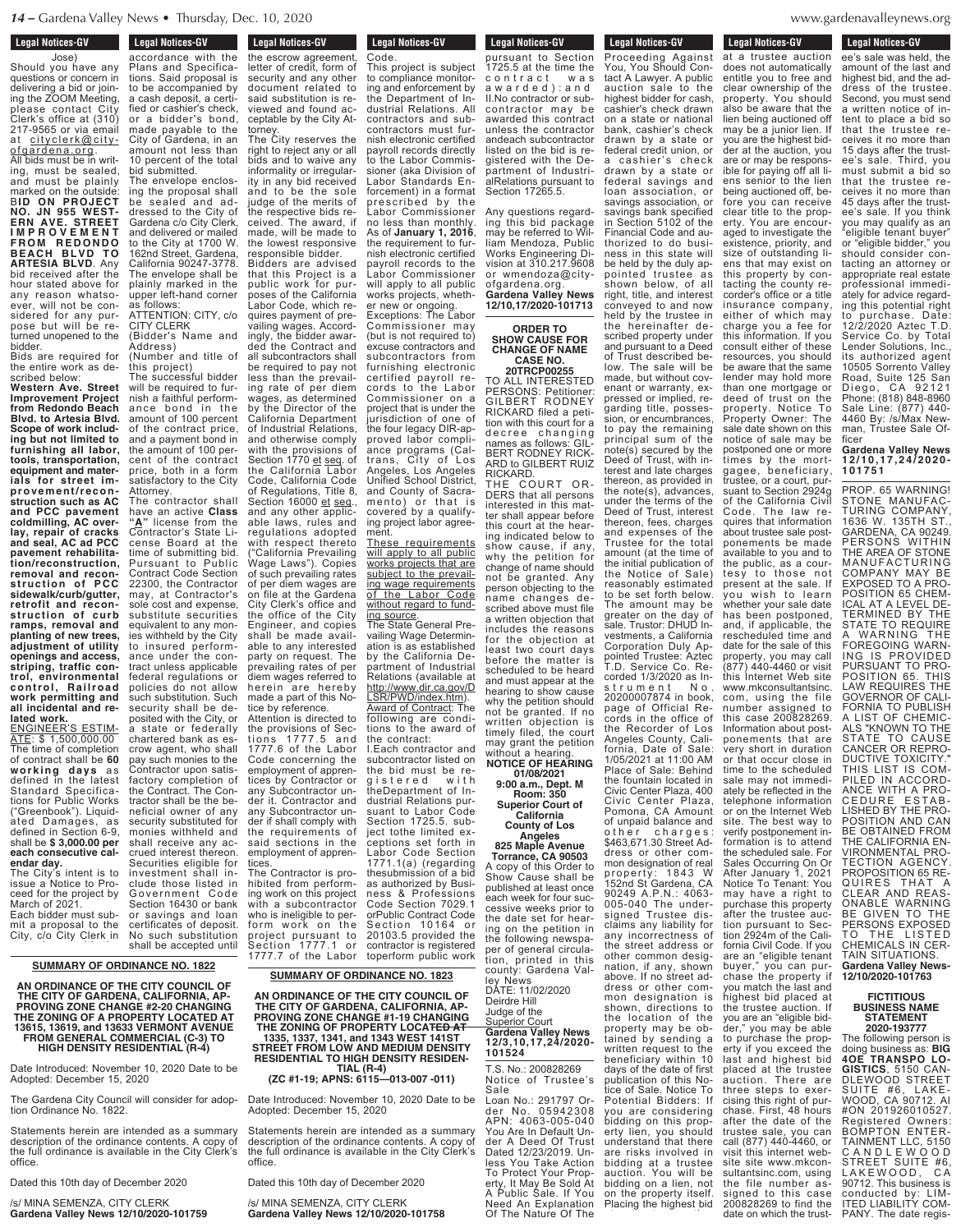### **Legal Notices-GV** eyal Nullues-WV

Jose) Should you have any questions or concern in delivering a bid or joining the ZOOM Meeting, please contact City Clerk's office at (310) 217-9565 or via email city clerk@city-<u>ofgardena.org</u>. All bids must be in writ-

ing, must be sealed, and must be plainly marked on the outside: B**ID ON PROJECT NO. JN 955 WEST-ERN AVE. STREET I M P R O V E M E N T F R O M R E D O N D O BEACH BLVD TO ARTESIA BLVD**. Any bid received after the hour stated above for any reason whatsoever, will not be considered for any purpose but will be returned unopened to the bidder.

Bids are required for the entire work as described below:

**Western Ave. Street Improvement Project from Redondo Beach Blvd. to Artesia Blvd. Scope of work including but not limited to furnishing all labor, tools, transportation, equipment and materials for street improvement/reconstruction such as AC and PCC pavement coldmilling, AC overlay, repair of cracks and seal, AC ad PCC pavement rehabilitation/reconstruction, removal and reconstruction of PCC sidewalk/curb/gutter, retrofit and reconstruction of curb ramps, removal and planting of new trees, adjustment of utility openings and access, striping, traffic control, environmental control, Railroad work permitting and all incidental and related work.**

ENGINEER'S ESTIM-ATE: \$ 1,500,000.00 The time of completion of contract shall be **60 wor k ing da y s** a s defined in the latest Standard Specifications for Public Works ("Greenbook"). Liquidated Damages, as defined in Section 6-9, shall be **\$ 3,000.00 per each consecutive calendar day.**

The City's intent is to issue a Notice to Proceed for the project by March of 2021. Each bidder must sub-

mit a proposal to the City, c/o City Clerk in

#### **SUMMARY OF ORDINANCE NO. 1822 SUMMARY OF ORDINANCE NO. 1822** <u>SUMMARY OF OF</u>

**AN ORDINANCE OF THE CITY COUNCIL OF** security and any other **THE CITY OF GARDENA, CALIFORNIA, AP-**THE CITY OF GARDENA, CALIFORNIA, AP-<br>PROVING ZONE CHANGE #2-20 CHANGING **THE ZONING OF A PROPERTY LOCATED AT 13615, 13619, and 13633 VERMONT AVENUE FROM GENERAL COMMERCIAL (C-3) TO HIGH DENSITY RESIDENTIAL (R-4)** AN ORDINANCE OF THE CITY COUNCIL OF THE CITY OF GARDENA, CALIFORNIA, AP-<br>PROVING ZONE CHANGE #2-20 CHANGING PERTY LOCATED AT 3 VERN IMERCIAL (C-3) TO SIDENTIAL (R-4) AN ORDINANCE OF T **PROVING ZONE CHA** THE ZONING OF A PP 13615, 13619, and 136 **FROM GENERAL C** HIGH DENSITY F

Date Introduced: November 10, 2020 Date to be Adopted: December 15, 2020 Date Introduced: November 10, 2020 Date to be Date Introduced: Nover

The Gardena City Council will consider for adoption Ordinance No. 1822. The Gardena City Council will consider for adop-The Gardena City Cour

Statements herein are intended as a summary description of the ordinance contents. A copy of the full ordinance is available in the City Clerk's office. Statements herein are intended as a summary Statements herein are  $\bullet$  office.

Dated this 10th day of December 2020 Dated this 10th day of December 2020 Dated this 10th day of D

/s/ MINA SEMENZA, CITY CLERK poses of the California Gardena Valley News 12/10/2020-101759 /s/ MINA SEMENZA, CITY CLERK /s/ MINA SEMENZA, CI

**Legal Notices-GV** Legal Nutrices-GV accordance with the Plans and Specifications. Said proposal is to be accompanied by a cash deposit, a certified or cashier's check, or a bidder's bond, made payable to the City of Gardena, in an amount not less than 10 percent of the total

bid submitted. The envelope enclosing the proposal shall be sealed and addressed to the City of Gardena c/o City Clerk, and delivered or mailed to the City at 1700 W. 162nd Street, Gardena California 90247-3778. The envelope shall be plainly marked in the upper left-hand corner as follows: ATTENTION: CITY, c/o CITY CLERK

(Bidder's Name and Address) (Number and title of

this project) The successful bidder will be required to furnish a faithful performance bond in the amount of 100 percent of the contract price,

and a payment bond in the amount of 100 percent of the contract price, both in a form satisfactory to the City Attorney. The contractor shall have an active **Class "A"** license from the Contractor's State License Board at the time of submitting bid. Pursuant to Public Contract Code Section 22300, the Contractor may, at Contractor's sole cost and expense, substitute securities equivalent to any monies withheld by the City to insured performance under the contract unless applicable federal regulations or policies do not allow such substitution. Such security shall be deposited with the City, or a state or federally chartered bank as es crow agent, who shall pay such monies to the Contractor upon satisfactory completion of the Contract. The Contractor shall be the beneficial owner of any security substituted for monies withheld and shall receive any accrued interest thereon. Securities eligible for investment shall include those listed in Government Code<br>Section 16430 or bank or savings and loan certificates of deposit. No such substitution shall be accepted until

**Legal Notices-GV Legal Nutiles-GV** the escrow agreement, letter of credit, form of security and any other document related to said substitution is reviewed and found acceptable by the City Attorney. The City reserves the right to reject any or all bids and to waive any

informality or irregularity in any bid received and to be the sole judge of the merits of the respective bids received. The award, if made, will be made to the lowest responsive

responsible bidder. Bidders are advised that this Project is a public work for purposes of the California Labor Code, which requires payment of prevailing wages. Accordingly, the bidder awarded the Contract and all subcontractors shall be required to pay not less than the prevailing rate of per diem wages, as determined by the Director of the California Department of Industrial Relations, and otherwise comply with the provisions of Section 1770 <u>et seq</u>. of the California Labor Code, California Code of Regulations, Title 8, Section 16000 <u>et seq</u>., and any other applicable laws, rules and regulations adopted with respect thereto ("California Prevailing Wage Laws"). Copies of such prevailing rates of per diem wages are on file at the Gardena City Clerk's office and the office of the City

Engineer, and copies shall be made available to any interested<br>party on request. The party on request. prevailing rates of per diem wages referred to herein are hereby made a part of this Notice by reference. Attention is directed to the provisions of Sections 1777.5 and 1777.6 of the Labor Code concerning the

employment of apprentices by Contractor or any Subcontractor under it. Contractor and any Subcontractor under if shall comply with the requirements of said sections in the employment of apprentices.

The Contractor is prohibited from performing work on this project with a subcontractor who is ineligible to per-<br>form work on the project pursuant to Sec tion 1777.1 or 1777.7 of the Labor

#### **SUMMARY OF ORDINANCE NO. 1823** <u>INANCE NO. 1823</u> Code. SUMMARY OF OF

**AN ORDINANCE OF THE CITY COUNCIL OF THE CITY OF GARDENA, CALIFORNIA, AP-PROVING ZONE CHANGE #1-19 CHANGING THE ZONING OF PROPERTY LOCATED AT 1335, 1337, 1341, and 1343 WEST 141ST** IE CITY COUNCIL OF A, CALIFORNIA, AP-PERTY LOCA<del>TED AT</del> 1343 WEST 141ST AN ORDINANCE OF THE CITY OF GARDE THE ZONING OF PR 1335, 1337, 1341, a**r** 

**STREET FROM LOW AND MEDIUM DENSITY RESIDENTIAL TO HIGH DENSITY RESIDEN-**) HIGH DENSITY RESIDEN-<br>TIAL (R-4) ND MEDIUM DENSITY gistered with the De-**STREET FROM LOW RESIDENTIAL TO HIG** to the  $t$  the  $\mathsf{t}$ 

(ZC #1-19; APNS: 6115—013-007 -011)

Date Introduced: November 10, 2020 Date to be Adopted: December 15, 2020 er 10, 2020 Date Labor Standards En-Date Introduced: Nover

Statements herein are intended as a summary description of the ordinance contents. A copy of the full ordinance is available in the City Clerk's office. itended as a summary Labor Commissioner Statements herein are office.

Dated this 10th day of December 2020 cember 2020 Dated this 10th day of D

/s/ MINA SEMENZA, CITY CLERK Gardena Valley News 12/10/2020-101758 /s/ MINA SEMENZA, CI

**Legal Notices-GV** 

contractors and subcontractors must furnish electronic certified payroll records directly to the Labor Commissioner (aka Division of Labor Standards Enforcement) in a format prescribed by the Labor Commissioner no less than monthly. As of **January 1, 2016**, the requirement to furnish electronic certified payroll records to the Labor Commissioner will apply to all public works projects, whether new or ongoing. Exceptions: The Labor Commissioner may

cords to the Labor Commissioner on a project that is under the jurisdiction of one of the four legacy DIR-approved labor compliance programs (Caltrans, City of Los Angeles, Los Angeles Unified School District, and County of Sacramento) or that is covered by a qualifying project labor agree-

These requirements will apply to all public works projects that are subject to the prevailing wage requirements of the Labor Code without regard to fund-

The State General Prevailing Wage Determination is as established by the California Department of Industrial Relations (available at http://www.dir.ca.gov/D LSR/PWD/index.htm). Award of Contract: The following are conditions to the award of the contract: I.Each contractor and subcontractor listed on the bid must be re-<br>gistered with g istered with theDepartment of Industrial Relations pursuant to Labor Code Section 1725.5. subject tothe limited exceptions set forth in

ment.

ing source.

Legal Nutrices-GV **Code** 

**Legal Notices-GV** Legal Nutles-GV pursuant to Section 1725.5 at the time the c o n t r a c t w a s a w a r d e d ) : a n d II.No contractor or subcontractor may be This project is subject to compliance monitoring and enforcement by the Department of Industrial Relations. All

awarded this contract unless the contractor andeach subcontractor listed on the bid is registered with the Department of IndustrialRelations pursuant to Section 17265.5.

Any questions regarding this bid package may be referred to William Mendoza, Public Works Engineering Division at 310.217.9608 or wmendoza@cityofgardena.org. **Gardena Valley News**

**12/10,17/2020-101713 ORDER TO**

**SHOW CAUSE FOR CHANGE OF NAME CASE NO. 20TRCP00255** (but is not required to) excuse contractors and subcontractors from furnishing electronic certified payroll re-

TO ALL INTERESTED PERSONS: Petitioner: GILBERT RODNEY RICKARD filed a petition with this court for a decree changing names as follows: GIL-BERT RODNEY RICK-ARD to GILBERT RUIZ<br>RICKARD RICKARD. THE COURT OR-

DERS that all persons interested in this matter shall appear before this court at the hearing indicated below to show cause, if any, why the petition for change of name should not be granted. Any person objecting to the name changes described above must file a written objection that includes the reasons for the objection at least two court days before the matter is scheduled to be heard and must appear at the hearing to show cause why the petition should not be granted. If no written objection is timely filed, the court may grant the petition

without a hearing. **NOTICE OF HEARING**

**01/08/2021 9:00 a.m., Dept. M Room: 350 Superior Court of California**

**County of Los Angeles 825 Maple Avenue**

A copy of this Order to Show Cause shall be published at least once each week for four suc-cessive weeks prior to the date set for hearing on the petition in the following newspaper of general circulation, printed in this county: Gardena Val-

DATE: 11/02/2020 Judge of the Superior Court **Gardena Valley News 12/3,10,17,24/2020-**

T.S. No.: 200828269 Notice of Trustee's Sale Loan No.: 291797 Order No. 05942308 APN: 4063-005-040 You Are In Default Under A Deed Of Trust Dated 12/23/2019. Unless You Take Action To Protect Your Property, It May Be Sold At A Public Sale. If You Need An Explanation Of The Nature Of The

**Legal Notices-GV Legal Nutures-GV** 

Proceeding Against You, You Should Con-

three steps to exercising this right of purtact A Lawyer. A public auction sale to the highest bidder for cash, cashier's check drawn on a state or national bank, cashier's check drawn by a state or federal credit union, or a cashier's check drawn by a state or federal savings and loan association, or savings association, or savings bank specified in Section 5102 of the Financial Code and authorized to do business in this state will be held by the duly appointed trustee as shown below, of all right, title, and interest conveyed to and now held by the trustee in the hereinafter described property under and pursuant to a Deed of Trust described below. The sale will be made, but without covenant or warranty, expressed or implied, regarding title, possession, or encumbrances, to pay the remaining principal sum of the note(s) secured by the Deed of Trust, with interest and late charges thereon, as provided in the note(s), advances, under the terms of the Deed of Trust, interest thereon, fees, charges and expenses of the Trustee for the total amount (at the time of the initial publication of the Notice of Sale) reasonably estimated to be set forth below. The amount may be greater on the day of sale. Trustor: DHUD Investments, a California Corporation Duly Appointed Trustee: Aztec T.D. Service Co. Recorded 1/3/2020 as Instrument No. 20200007874 in book, page of Official Records in the office of the Recorder of Los Angeles County, California, Date of Sale: 1/05/2021 at 11:00 AM Place of Sale: Behind the fountain located in Civic Center Plaza, 400 Civic Center Plaza, Pomona, CA Amount of unpaid balance and o ther charges: \$463,671.30 Street Address or other common designation of real property: 1843 W 152nd St Gardena, CA 90249 A.P.N.: 4063- 005-040 The under-signed Trustee disclaims any liability for any incorrectness of the street address or other common designation, if any, shown above. If no street address or other common designation is shown, directions to the location of the property may be obtained by sending a written request to the beneficiary within 10 days of the date of first publication of this Notice of Sale. Notice To Potential Bidders: If

you are considering bidding on this property lien, you should understand that there are risks involved in bidding at a trustee auction. You will be bidding on a lien, not on the property itself. Placing the highest bid

denavallevnews.org  $s$  is the term of the term of  $\sigma$  $WWW.\overline{9}$  $\ldots$   $\ldots$   $\ldots$   $\ldots$ 

**Legal Notices-GV** 

**Legal Nutices-GV** 

at a trustee auction does not automatically entitle you to free and clear ownership of the property. You should also be aware that the lien being auctioned off may be a junior lien. If you are the highest bidder at the auction, you are or may be responsible for paying off all liens senior to the lien being auctioned off, before you can receive clear title to the property. You are encouraged to investigate the existence, priority, and size of outstanding liens that may exist on this property by contacting the county recorder's office or a title insurance company, either of which may charge you a fee for this information. If you consult either of these resources, you should be aware that the same lender may hold more than one mortgage or deed of trust on the property. Notice To Property Owner: The sale date shown on this notice of sale may be postponed one or more times by the mortgagee, beneficiary, trustee, or a court, pursuant to Section 2924g of the California Civil Code. The law requires that information about trustee sale postponements be made available to you and to the public, as a courtesy to those not present at the sale. If you wish to learn whether your sale date has been postponed, and, if applicable, the rescheduled time and date for the sale of this property, you may call (877) 440-4460 or visit this Internet Web site www.mkconsultantsinc. com, using the file number assigned to this case 200828269. Information about postponements that are very short in duration or that occur close in time to the scheduled sale may not immediately be reflected in the telephone information or on the Internet Web site. The best way to verify postponement information is to attend the scheduled sale. For Sales Occurring On Or After January 1, 2021 Notice To Tenant: You may have a right to purchase this property after the trustee auction pursuant to Section 2924m of the California Civil Code. If you are an "eligible tenant buyer," you can purchase the property if you match the last and highest bid placed at the trustee auction. If you are an "eligible bidder," you may be able to purchase the property if you exceed the last and highest bid placed at the trustee auction. There are

chase. First, 48 hours after the date of the trustee sale, you can call (877) 440-4460, or visit this internet website site www.mkconsultantsinc.com, using the file number assigned to this case 200828269 to find the date on which the trust-

Legal Nutries-dv ee's sale was held, the amount of the last and highest bid, and the address of the trustee. Second, you must send a written notice of intent to place a bid so that the trustee receives it no more than 15 days after the trustee's sale. Third, you must submit a bid so that the trustee receives it no more than 45 days after the trustee's sale. If you think you may qualify as an "eligible tenant buyer" or "eligible bidder," you should consider contacting an attorney or appropriate real estate professional immediately for advice regarding this potential right to purchase. Date: 12/2/2020 Aztec T.D. Service Co. by Total Lender Solutions, Inc., its authorized agent 10505 Sorrento Valley Road, Suite 125 San<br>Diego, CA 92121 Diego, CA 92121 Phone: (818) 848-8960 Sale Line: (877) 440- 4460 By: /s/Max Newman, Trustee Sale Officer

**200828 Legal Notices-GV** 

**Gardena Valley News 1 2 / 1 0 , 1 7 , 2 4 / 2 0 2 0 - 1 0 1 7 5 1**

PROP. 65 WARNING! STONE MANUFAC-TURING COMPANY, 1636 W. 135TH ST., GARDENA, CA 90249. PERSONS WITHIN THE AREA OF STONE MANUFACTURING COMPANY MAY BE EXPOSED TO A PRO-POSITION 65 CHEM-ICAL AT A LEVEL DE-TERMINED BY THE STATE TO REQUIRE A WARNING THE FOREGOING WARN-ING IS PROVIDED PURSUANT TO PRO-POSITION 65. THIS LAW REQUIRES THE GOVERNOR OF CALI-FORNIA TO PUBLISH A LIST OF CHEMIC-ALS "KNOWN TO THE STATE TO CAUSE CANCER OR REPRO-DUCTIVE TOXICITY." THIS LIST IS COM-PILED IN ACCORD-ANCE WITH A PRO-<br>CEDURE ESTAB-LISHED BY THE PRO-POSITION AND CAN BE OBTAINED FROM THE CALIFORNIA EN-VIRONMENTAL PRO-TECTION AGENCY. PROPOSITION 65 RE-QUIRES THAT A CLEAR AND REAS-ONABLE WARNING BE GIVEN TO THE PERSONS EXPOSED TO THE LISTED CHEMICALS IN CER-TAIN SITUATIONS. **Gardena Valley News-12/10/2020-101763**

### **FICTITIOUS BUSINESS NAME STATEMENT 2020-193777**

The following person is doing business as: **BIG 4OE TRANSPO LO-GISTICS**, 5150 CAN-DLEWOOD STREET SUITE #6, LAKE-WOOD, CA 90712. AI #ON 201926010527. Registered Owners: BOMPTON ENTER-TAINMENT LLC, 5150 C A N D L E W O O D STREET SUITE #6, LAKEWOOD, CA 90712. This business is conducted by: LIM-ITED LIABILITY COM-PANY. The date regis-

**Torrance, CA 90503** ley News Deirdre Hill Labor Code Section 1771.1(a) (regarding thesubmission of a bid as authorized by Business & Professions Code Section 7029.1 orPublic Contract Code Section 10164 or 20103.5 provided the contractor is registered toperform public work

**101524**